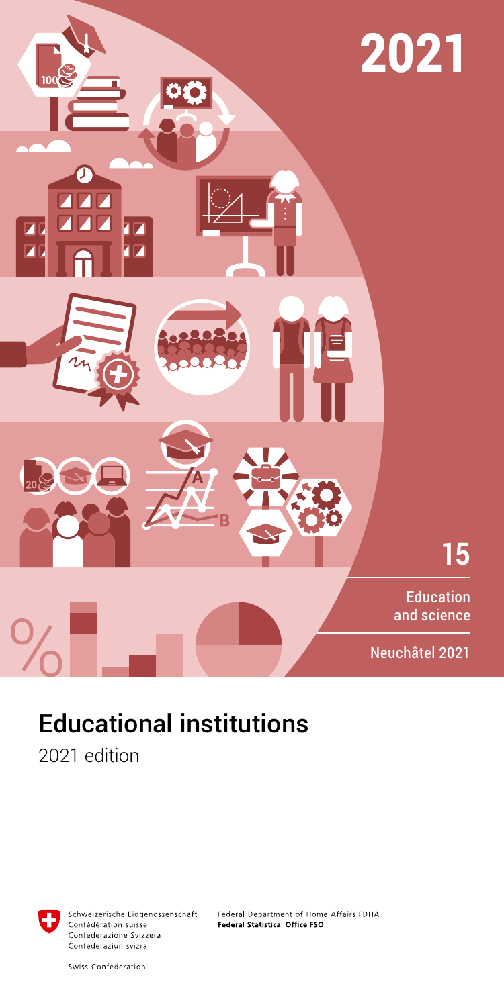

# Educational institutions

2021 edition



Schweizerische Eidgenossenschaft Confédération suisse Confederazione Svizzera Confederaziun svizra

Federal Department of Home Affairs FDHA Federal Statistical Office FSO

Swiss Confederation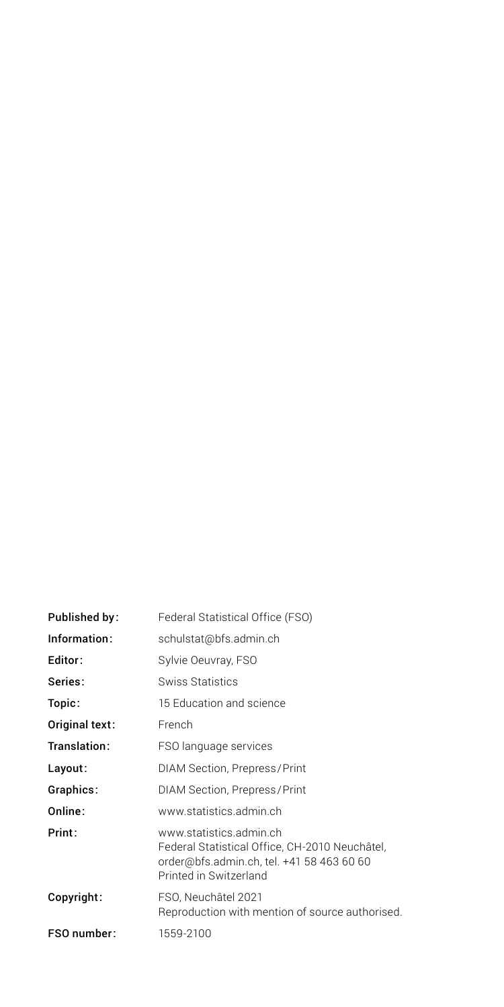| Published by:  | Federal Statistical Office (FSO)                                                                                                                 |
|----------------|--------------------------------------------------------------------------------------------------------------------------------------------------|
| Information:   | schulstat@bfs.admin.ch                                                                                                                           |
| Editor:        | Sylvie Oeuvray, FSO                                                                                                                              |
| Series:        | <b>Swiss Statistics</b>                                                                                                                          |
| Topic:         | 15 Education and science                                                                                                                         |
| Original text: | French                                                                                                                                           |
| Translation:   | FSO language services                                                                                                                            |
| Layout:        | DIAM Section, Prepress/Print                                                                                                                     |
| Graphics:      | DIAM Section, Prepress/Print                                                                                                                     |
| Online:        | www.statistics.admin.ch                                                                                                                          |
| Print:         | www.statistics.admin.ch<br>Federal Statistical Office, CH-2010 Neuchâtel,<br>order@bfs.admin.ch, tel. +41 58 463 60 60<br>Printed in Switzerland |
| Copyright:     | FSO, Neuchâtel 2021<br>Reproduction with mention of source authorised.                                                                           |
| FSO number:    | 1559-2100                                                                                                                                        |
|                |                                                                                                                                                  |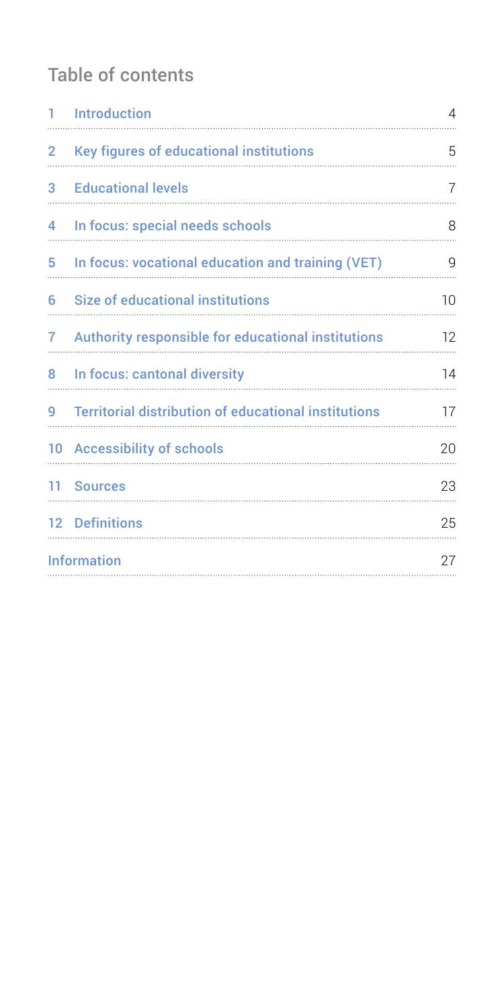# Table of contents

| $1 -$                 | Introduction                                                | 4  |
|-----------------------|-------------------------------------------------------------|----|
| $\mathbf{2}^{\prime}$ | Key figures of educational institutions                     | 5  |
| 3.                    | <b>Educational levels</b>                                   | 7  |
| 4                     | In focus: special needs schools                             | 8  |
| 5                     | In focus: vocational education and training (VET)           | 9  |
| 6                     | <b>Size of educational institutions</b>                     | 10 |
| 7                     | Authority responsible for educational institutions          | 12 |
|                       | 8 In focus: cantonal diversity                              | 14 |
| 9                     | <b>Territorial distribution of educational institutions</b> | 17 |
|                       | 10 Accessibility of schools                                 | 20 |
|                       | 11 Sources                                                  | 23 |
|                       | 12 Definitions                                              | 25 |
|                       | <b>Information</b>                                          |    |
|                       |                                                             |    |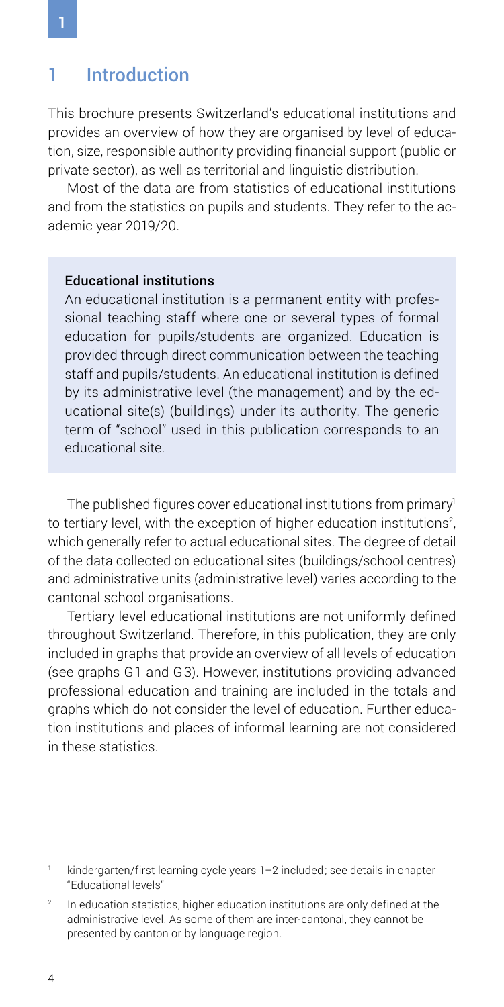### <span id="page-3-0"></span>1 Introduction

This brochure presents Switzerland's educational institutions and provides an overview of how they are organised by level of education, size, responsible authority providing financial support (public or private sector), as well as territorial and linguistic distribution.

Most of the data are from statistics of educational institutions and from the statistics on pupils and students. They refer to the academic year 2019/20.

### Educational institutions

An educational institution is a permanent entity with professional teaching staff where one or several types of formal education for pupils/students are organized. Education is provided through direct communication between the teaching staff and pupils/students. An educational institution is defined by its administrative level (the management) and by the educational site(s) (buildings) under its authority. The generic term of "school" used in this publication corresponds to an educational site.

The published figures cover educational institutions from primary<sup>1</sup> to tertiary level, with the exception of higher education institutions $^2$ , which generally refer to actual educational sites. The degree of detail of the data collected on educational sites (buildings/school centres) and administrative units (administrative level) varies according to the cantonal school organisations.

Tertiary level educational institutions are not uniformly defined throughout Switzerland. Therefore, in this publication, they are only included in graphs that provide an overview of all levels of education (see graphs G1 and G3). However, institutions providing advanced professional education and training are included in the totals and graphs which do not consider the level of education. Further education institutions and places of informal learning are not considered in these statistics.

kindergarten/first learning cycle years 1–2 included; see details in chapter "Educational levels"

 $2<sup>2</sup>$  In education statistics, higher education institutions are only defined at the administrative level. As some of them are inter-cantonal, they cannot be presented by canton or by language region.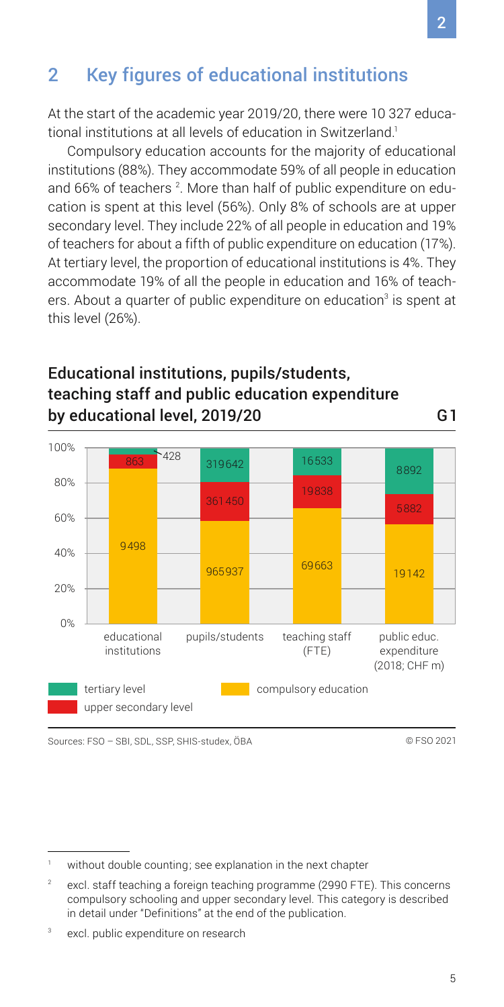# <span id="page-4-0"></span>2 Key figures of educational institutions

At the start of the academic year 2019/20, there were 10 327 educational institutions at all levels of education in Switzerland.<sup>1</sup>

Compulsory education accounts for the majority of educational institutions (88%). They accommodate 59% of all people in education and 66% of teachers  $^{\text{2}}$ . More than half of public expenditure on education is spent at this level (56%). Only 8% of schools are at upper secondary level. They include 22% of all people in education and 19% of teachers for about a fifth of public expenditure on education (17%). At tertiary level, the proportion of educational institutions is 4%. They accommodate 19% of all the people in education and 16% of teachers. About a quarter of public expenditure on education<sup>3</sup> is spent at this level (26%).

### Educational institutions, pupils/students, teaching staff and public education expenditure by educational level, 2019/20 G1

0% 20% 40% 60% 80% 100% educational institutions pupils/students teaching staff  $(FTF)$ public educ. expenditure (2018; CHF m) 9498 428 965937 361450 319642 69663 19838 16533 19142 8892 compulsory education upper secondary level tertiary level

Sources: FSO – SBI, SDL, SSP, SHIS-studex, ÖBA © FSO 2021

without double counting; see explanation in the next chapter

<sup>&</sup>lt;sup>2</sup> excl. staff teaching a foreign teaching programme (2990 FTE). This concerns compulsory schooling and upper secondary level. This category is described in detail under "Definitions" at the end of the publication.

<sup>&</sup>lt;sup>3</sup> excl. public expenditure on research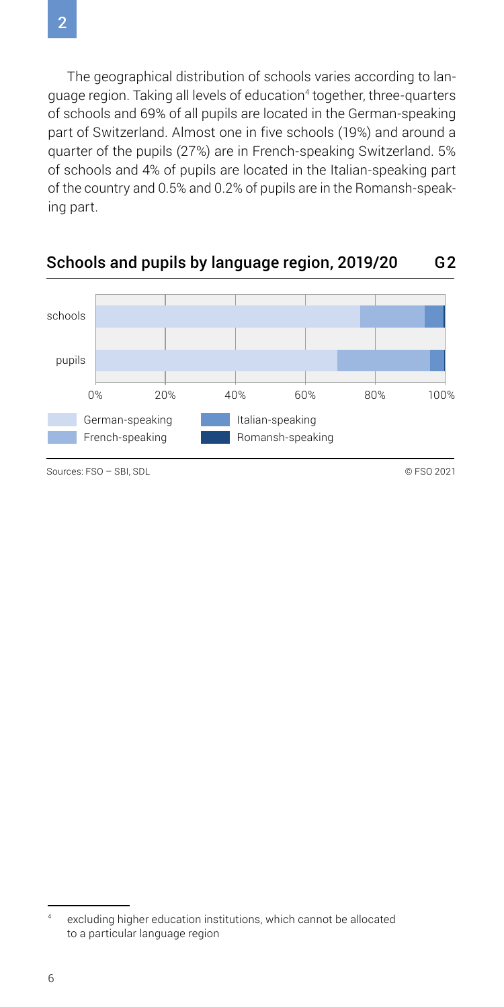The geographical distribution of schools varies according to language region. Taking all levels of education<sup>4</sup> together, three-quarters of schools and 69% of all pupils are located in the German-speaking part of Switzerland. Almost one in five schools (19%) and around a quarter of the pupils (27%) are in French-speaking Switzerland. 5% of schools and 4% of pupils are located in the Italian-speaking part of the country and 0.5% and 0.2% of pupils are in the Romansh-speaking part.



### Schools and pupils by language region, 2019/20 G2

excluding higher education institutions, which cannot be allocated to a particular language region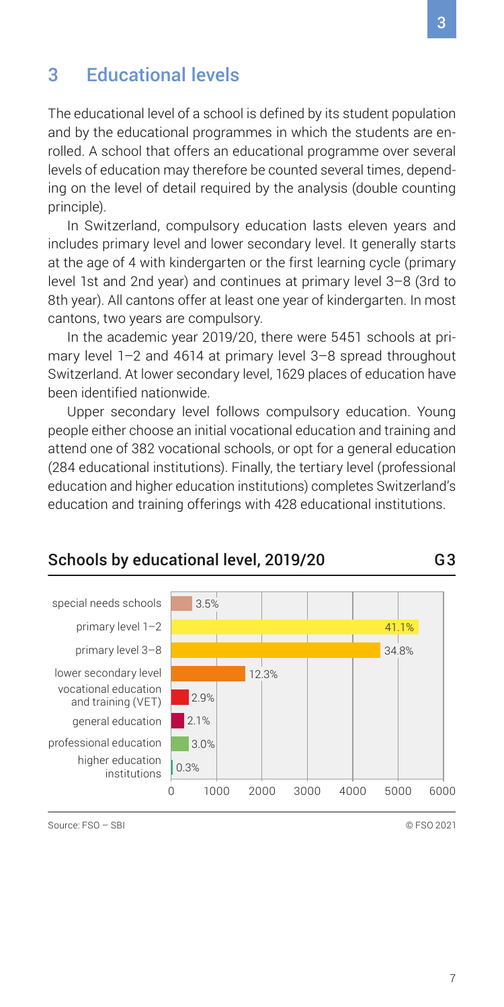### <span id="page-6-0"></span>3 Educational levels

The educational level of a school is defined by its student population and by the educational programmes in which the students are enrolled. A school that offers an educational programme over several levels of education may therefore be counted several times, depending on the level of detail required by the analysis (double counting principle).

In Switzerland, compulsory education lasts eleven years and includes primary level and lower secondary level. It generally starts at the age of 4 with kindergarten or the first learning cycle (primary level 1st and 2nd year) and continues at primary level 3–8 (3rd to 8th year). All cantons offer at least one year of kindergarten. In most cantons, two years are compulsory.

In the academic year 2019/20, there were 5451 schools at primary level 1–2 and 4614 at primary level 3–8 spread throughout Switzerland. At lower secondary level, 1629 places of education have been identified nationwide.

Upper secondary level follows compulsory education. Young people either choose an initial vocational education and training and attend one of 382 vocational schools, or opt for a general education (284 educational institutions). Finally, the tertiary level (professional education and higher education institutions) completes Switzerland's education and training offerings with 428 educational institutions.



### Schools by educational level, 2019/20 G3

Source: FSO – SBI © FSO 2021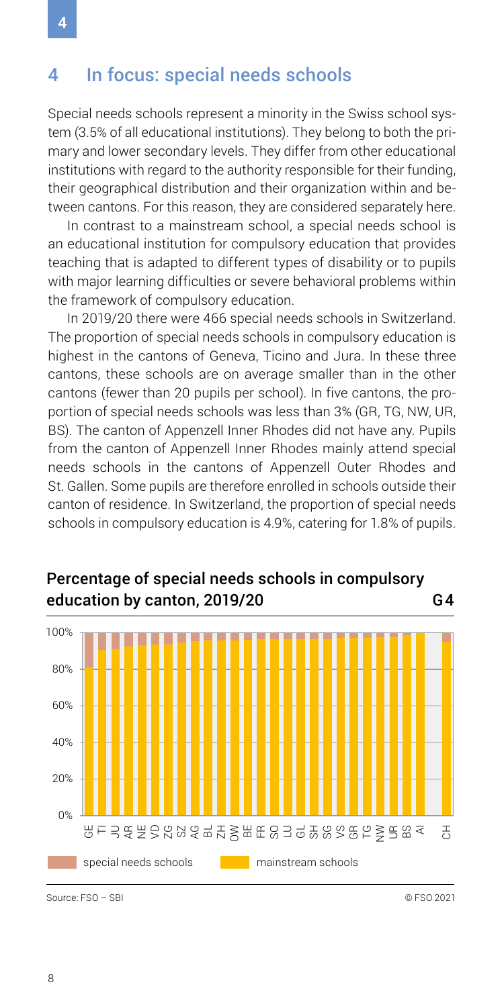### <span id="page-7-0"></span>4 In focus: special needs schools

Special needs schools represent a minority in the Swiss school system (3.5% of all educational institutions). They belong to both the primary and lower secondary levels. They differ from other educational institutions with regard to the authority responsible for their funding. their geographical distribution and their organization within and between cantons. For this reason, they are considered separately here.

In contrast to a mainstream school, a special needs school is an educational institution for compulsory education that provides teaching that is adapted to different types of disability or to pupils with major learning difficulties or severe behavioral problems within the framework of compulsory education.

In 2019/20 there were 466 special needs schools in Switzerland. The proportion of special needs schools in compulsory education is highest in the cantons of Geneva, Ticino and Jura. In these three cantons, these schools are on average smaller than in the other cantons (fewer than 20 pupils per school). In five cantons, the proportion of special needs schools was less than 3% (GR, TG, NW, UR, BS). The canton of Appenzell Inner Rhodes did not have any. Pupils from the canton of Appenzell Inner Rhodes mainly attend special needs schools in the cantons of Appenzell Outer Rhodes and St. Gallen. Some pupils are therefore enrolled in schools outside their canton of residence. In Switzerland, the proportion of special needs schools in compulsory education is 4.9%, catering for 1.8% of pupils.



### Percentage of special needs schools in compulsory education by canton, 2019/20 G4

Source: FSO – SBI © FSO 2021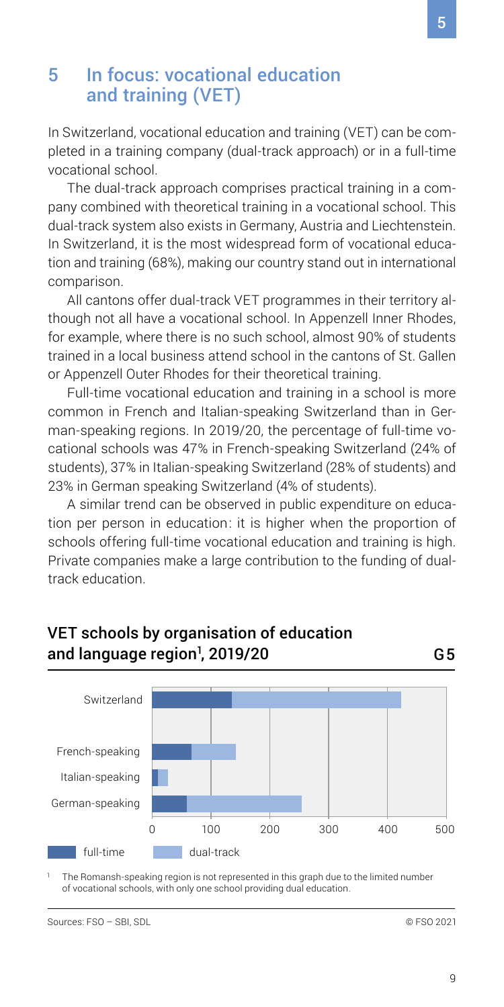### <span id="page-8-0"></span>5 In focus: vocational education and training (VET)

In Switzerland, vocational education and training (VET) can be completed in a training company (dual-track approach) or in a full-time vocational school.

The dual-track approach comprises practical training in a company combined with theoretical training in a vocational school. This dual-track system also exists in Germany, Austria and Liechtenstein. In Switzerland, it is the most widespread form of vocational education and training (68%), making our country stand out in international comparison.

All cantons offer dual-track VET programmes in their territory although not all have a vocational school. In Appenzell Inner Rhodes, for example, where there is no such school, almost 90% of students trained in a local business attend school in the cantons of St. Gallen or Appenzell Outer Rhodes for their theoretical training.

Full-time vocational education and training in a school is more common in French and Italian-speaking Switzerland than in German-speaking regions. In 2019/20, the percentage of full-time vocational schools was 47% in French-speaking Switzerland (24% of students), 37% in Italian-speaking Switzerland (28% of students) and 23% in German speaking Switzerland (4% of students).

A similar trend can be observed in public expenditure on education per person in education: it is higher when the proportion of schools offering full-time vocational education and training is high. Private companies make a large contribution to the funding of dualtrack education.



### VET schools by organisation of education and language region<sup>1</sup>, 2019/20 1 G5

The Romansh-speaking region is not represented in this graph due to the limited number of vocational schools, with only one school providing dual education.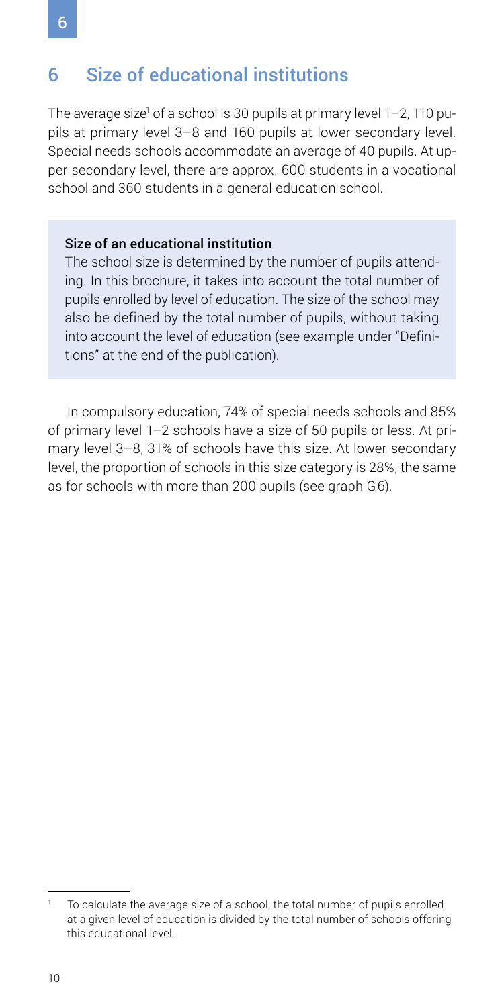## <span id="page-9-0"></span>6 Size of educational institutions

The average size<sup>1</sup> of a school is 30 pupils at primary level 1–2, 110 pupils at primary level 3–8 and 160 pupils at lower secondary level. Special needs schools accommodate an average of 40 pupils. At upper secondary level, there are approx. 600 students in a vocational school and 360 students in a general education school.

#### Size of an educational institution

The school size is determined by the number of pupils attending. In this brochure, it takes into account the total number of pupils enrolled by level of education. The size of the school may also be defined by the total number of pupils, without taking into account the level of education (see example under "Definitions" at the end of the publication).

In compulsory education, 74% of special needs schools and 85% of primary level 1–2 schools have a size of 50 pupils or less. At primary level 3–8, 31% of schools have this size. At lower secondary level, the proportion of schools in this size category is 28%, the same as for schools with more than 200 pupils (see graph G6).

To calculate the average size of a school, the total number of pupils enrolled at a given level of education is divided by the total number of schools offering this educational level.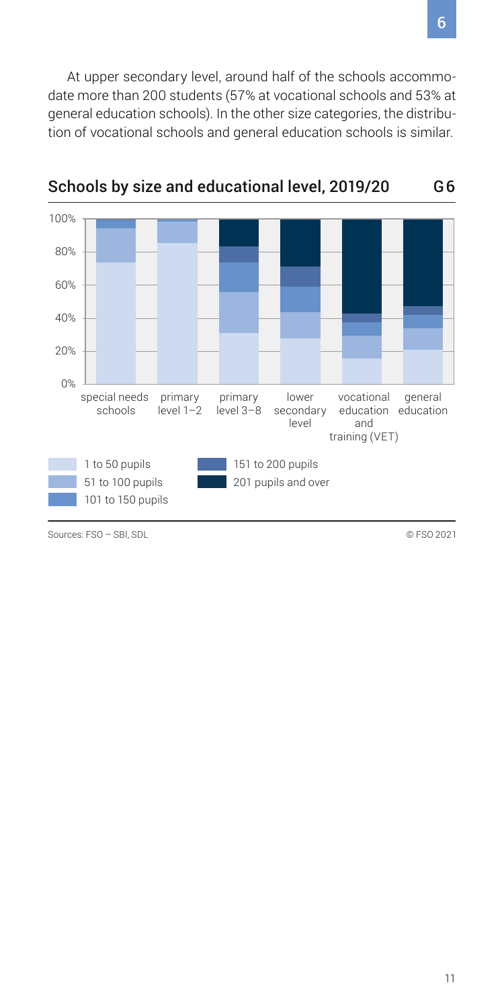At upper secondary level, around half of the schools accommodate more than 200 students (57% at vocational schools and 53% at general education schools). In the other size categories, the distribution of vocational schools and general education schools is similar.



Schools by size and educational level, 2019/20 G6

Sources: FSO – SBL SDL © FSO 2021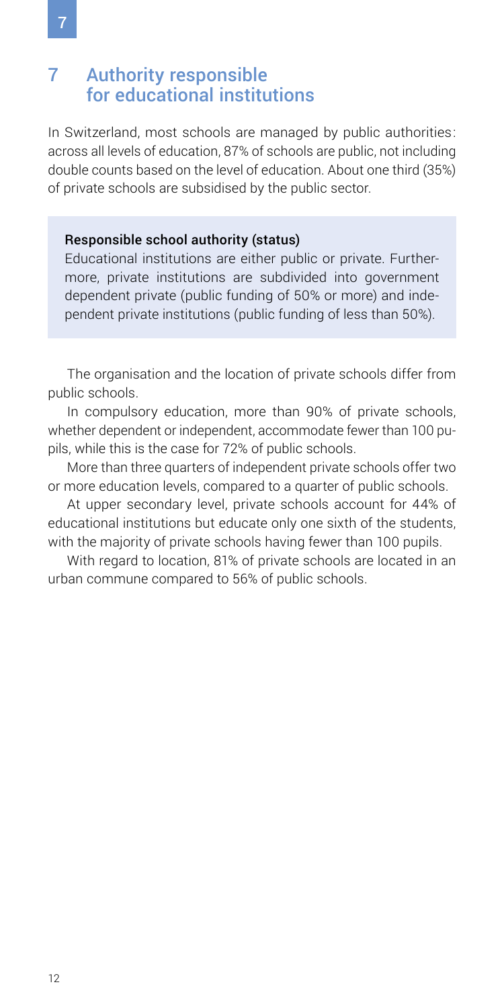### <span id="page-11-0"></span>7 Authority responsible for educational institutions

In Switzerland, most schools are managed by public authorities: across all levels of education, 87% of schools are public, not including double counts based on the level of education. About one third (35%) of private schools are subsidised by the public sector.

### Responsible school authority (status)

Educational institutions are either public or private. Furthermore, private institutions are subdivided into government dependent private (public funding of 50% or more) and independent private institutions (public funding of less than 50%).

The organisation and the location of private schools differ from public schools.

In compulsory education, more than 90% of private schools, whether dependent or independent, accommodate fewer than 100 pupils, while this is the case for 72% of public schools.

More than three quarters of independent private schools offer two or more education levels, compared to a quarter of public schools.

At upper secondary level, private schools account for 44% of educational institutions but educate only one sixth of the students, with the majority of private schools having fewer than 100 pupils.

With regard to location, 81% of private schools are located in an urban commune compared to 56% of public schools.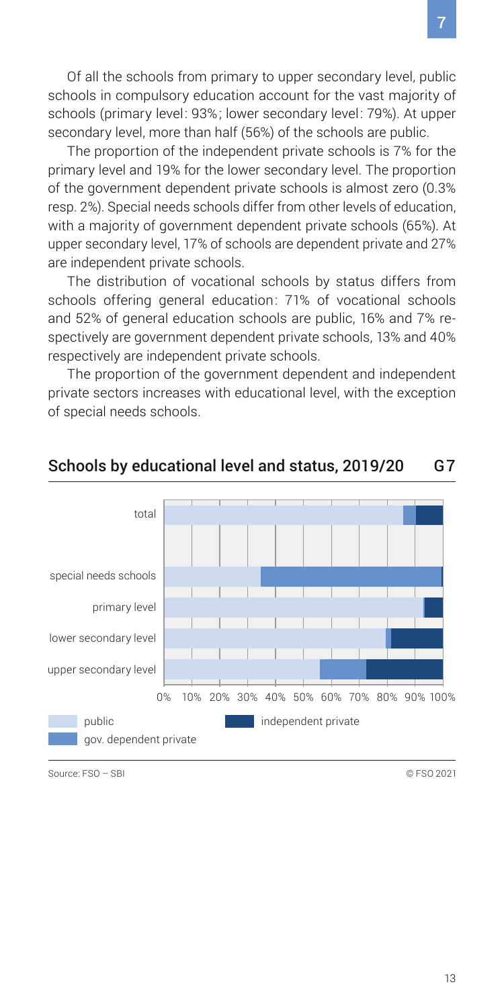Of all the schools from primary to upper secondary level, public schools in compulsory education account for the vast majority of schools (primary level: 93%; lower secondary level: 79%). At upper secondary level, more than half (56%) of the schools are public.

The proportion of the independent private schools is 7% for the primary level and 19% for the lower secondary level. The proportion of the government dependent private schools is almost zero (0.3% resp. 2%). Special needs schools differ from other levels of education, with a majority of government dependent private schools (65%). At upper secondary level, 17% of schools are dependent private and 27% are independent private schools.

The distribution of vocational schools by status differs from schools offering general education: 71% of vocational schools and 52% of general education schools are public, 16% and 7% respectively are government dependent private schools, 13% and 40% respectively are independent private schools.

The proportion of the government dependent and independent private sectors increases with educational level, with the exception of special needs schools.



### Schools by educational level and status, 2019/20 G7

Source: FSO – SBI © FSO 2021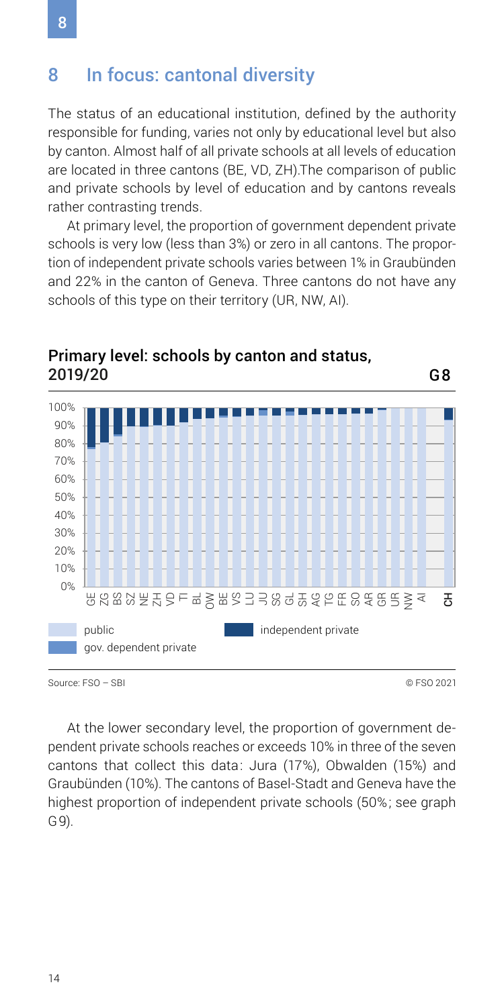### <span id="page-13-0"></span>8 In focus: cantonal diversity

The status of an educational institution, defined by the authority responsible for funding, varies not only by educational level but also by canton. Almost half of all private schools at all levels of education are located in three cantons (BE, VD, ZH).The comparison of public and private schools by level of education and by cantons reveals rather contrasting trends.

At primary level, the proportion of government dependent private schools is very low (less than 3%) or zero in all cantons. The proportion of independent private schools varies between 1% in Graubünden and 22% in the canton of Geneva. Three cantons do not have any schools of this type on their territory (UR, NW, AI).



### Primary level: schools by canton and status, 2019/20 G8

Source: FSO – SBI © FSO 2021

At the lower secondary level, the proportion of government dependent private schools reaches or exceeds 10% in three of the seven cantons that collect this data: Jura (17%), Obwalden (15%) and Graubünden (10%). The cantons of Basel-Stadt and Geneva have the highest proportion of independent private schools (50%; see graph G9).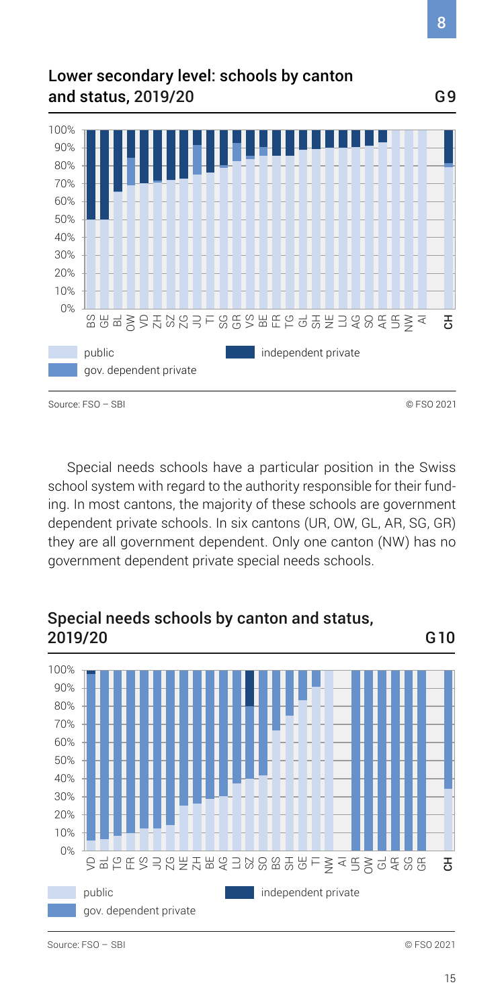### Lower secondary level: schools by canton and status, 2019/20 G9



Special needs schools have a particular position in the Swiss school system with regard to the authority responsible for their funding. In most cantons, the majority of these schools are government dependent private schools. In six cantons (UR, OW, GL, AR, SG, GR) they are all government dependent. Only one canton (NW) has no government dependent private special needs schools.

### public gov. dependent private independent private 2019/20 G10 0% 10% 20% 30% 40% 50% 60% 70% 80% 90% 100% 응쿅늖뜺ゐ금以양 8 앞 앞이 울 소문 옷 역 없 않 공

# Special needs schools by canton and status,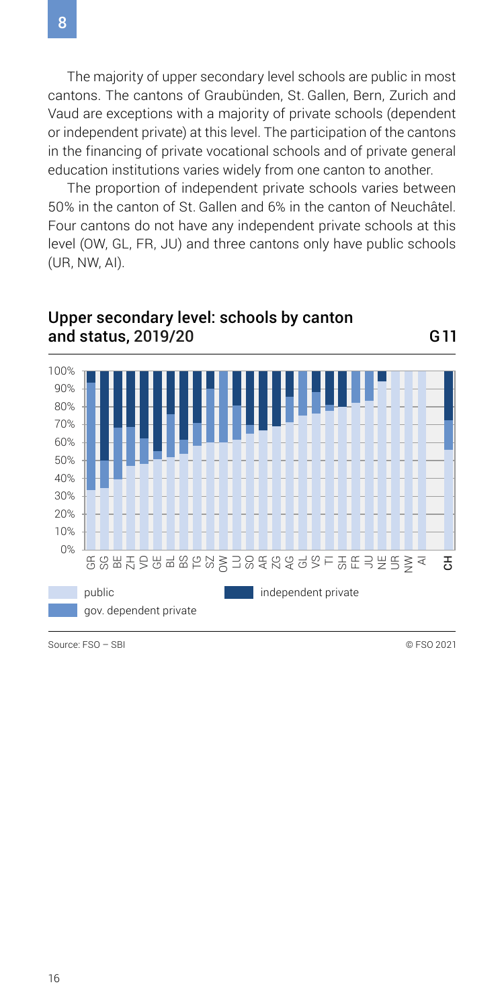8

The majority of upper secondary level schools are public in most cantons. The cantons of Graubünden, St. Gallen, Bern, Zurich and Vaud are exceptions with a majority of private schools (dependent or independent private) at this level. The participation of the cantons in the financing of private vocational schools and of private general education institutions varies widely from one canton to another.

The proportion of independent private schools varies between 50% in the canton of St. Gallen and 6% in the canton of Neuchâtel. Four cantons do not have any independent private schools at this level (OW, GL, FR, JU) and three cantons only have public schools (UR, NW, AI).



Upper secondary level: schools by canton

Source: FSO – SBI © FSO 2021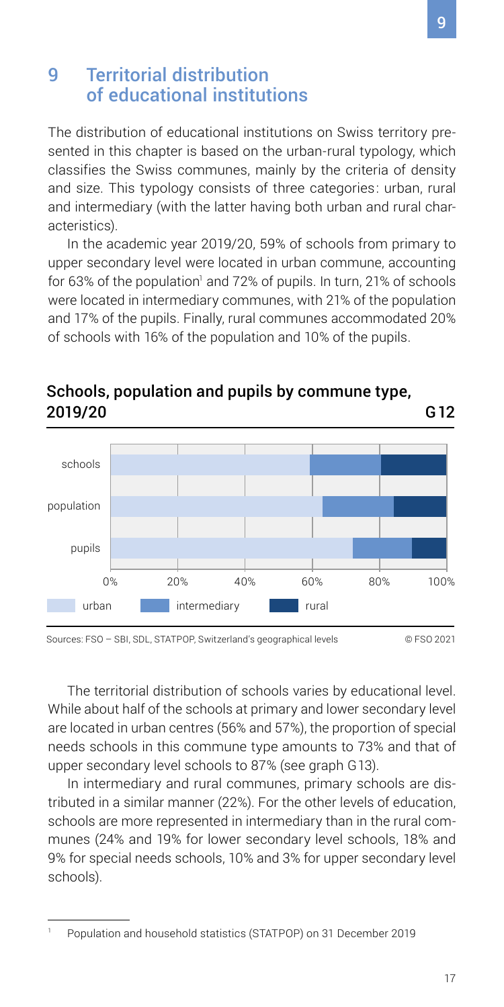### <span id="page-16-0"></span>9 Territorial distribution of educational institutions

The distribution of educational institutions on Swiss territory presented in this chapter is based on the urban-rural typology, which classifies the Swiss communes, mainly by the criteria of density and size. This typology consists of three categories: urban, rural and intermediary (with the latter having both urban and rural characteristics).

In the academic year 2019/20, 59% of schools from primary to upper secondary level were located in urban commune, accounting for 63% of the population<sup>1</sup> and 72% of pupils. In turn, 21% of schools were located in intermediary communes, with 21% of the population and 17% of the pupils. Finally, rural communes accommodated 20% of schools with 16% of the population and 10% of the pupils.



### Schools, population and pupils by commune type, 2019/20 G12

Sources: FSO – SBI, SDL, STATPOP, Switzerland's geographical levels © FSO 2021

The territorial distribution of schools varies by educational level. While about half of the schools at primary and lower secondary level are located in urban centres (56% and 57%), the proportion of special needs schools in this commune type amounts to 73% and that of upper secondary level schools to 87% (see graph G13).

In intermediary and rural communes, primary schools are distributed in a similar manner (22%). For the other levels of education, schools are more represented in intermediary than in the rural communes (24% and 19% for lower secondary level schools, 18% and 9% for special needs schools, 10% and 3% for upper secondary level schools).

<sup>1</sup> Population and household statistics (STATPOP) on 31 December 2019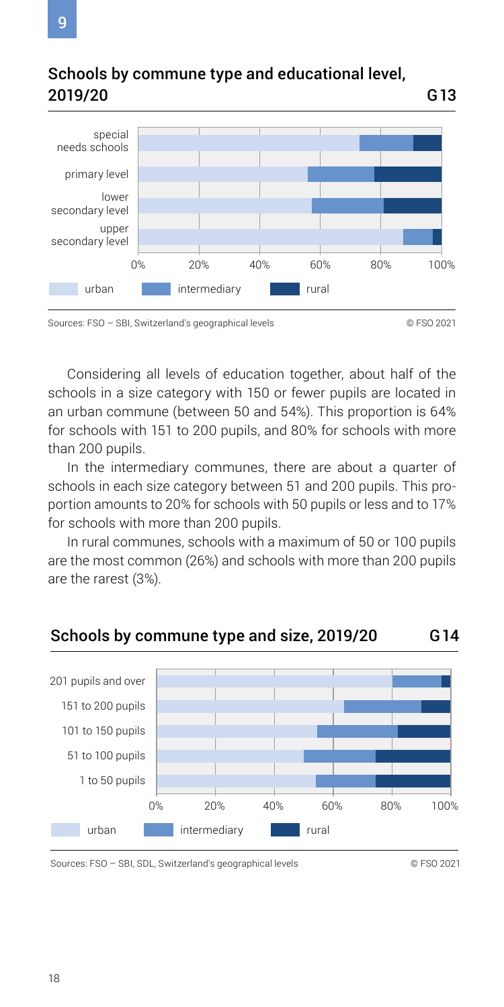

### Schools by commune type and educational level, 2019/20 G13

Considering all levels of education together, about half of the schools in a size category with 150 or fewer pupils are located in an urban commune (between 50 and 54%). This proportion is 64% for schools with 151 to 200 pupils, and 80% for schools with more than 200 pupils.

In the intermediary communes, there are about a quarter of schools in each size category between 51 and 200 pupils. This proportion amounts to 20% for schools with 50 pupils or less and to 17% for schools with more than 200 pupils.

In rural communes, schools with a maximum of 50 or 100 pupils are the most common (26%) and schools with more than 200 pupils are the rarest (3%).

### Schools by commune type and size, 2019/20 G14



Sources: FSO – SBI, SDL, Switzerland's geographical levels © FSO 2021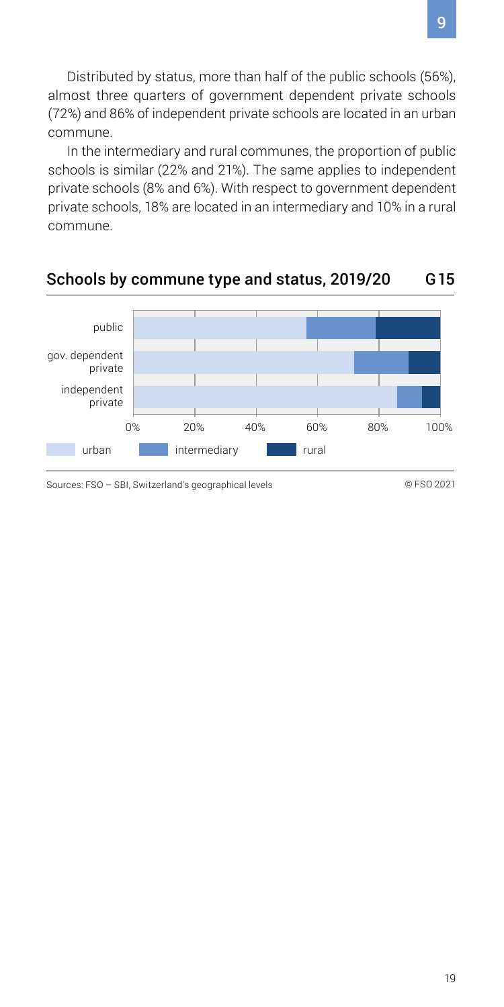Distributed by status, more than half of the public schools (56%), almost three quarters of government dependent private schools (72%) and 86% of independent private schools are located in an urban commune.

In the intermediary and rural communes, the proportion of public schools is similar (22% and 21%). The same applies to independent private schools (8% and 6%). With respect to government dependent private schools, 18% are located in an intermediary and 10% in a rural commune.

#### Schools by commune type and status, 2019/20 G15



Sources: FSO – SBI, Switzerland's geographical levels © FSO 2021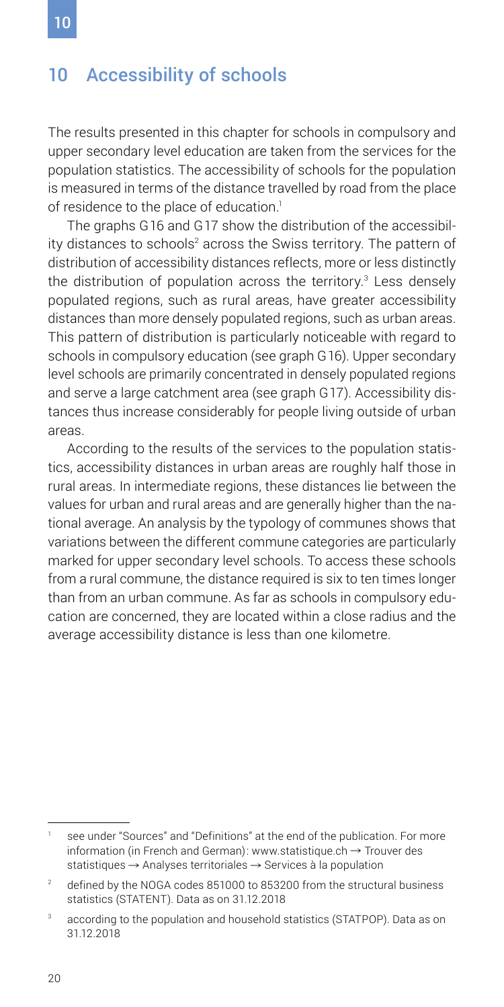# <span id="page-19-0"></span>10

### 10 Accessibility of schools

The results presented in this chapter for schools in compulsory and upper secondary level education are taken from the services for the population statistics. The accessibility of schools for the population is measured in terms of the distance travelled by road from the place of residence to the place of education.<sup>1</sup>

The graphs G16 and G17 show the distribution of the accessibility distances to schools $^{\scriptscriptstyle 2}$  across the Swiss territory. The pattern of distribution of accessibility distances reflects, more or less distinctly the distribution of population across the territory.<sup>3</sup> Less densely populated regions, such as rural areas, have greater accessibility distances than more densely populated regions, such as urban areas. This pattern of distribution is particularly noticeable with regard to schools in compulsory education (see graph G16). Upper secondary level schools are primarily concentrated in densely populated regions and serve a large catchment area (see graph G17). Accessibility distances thus increase considerably for people living outside of urban areas.

According to the results of the services to the population statistics, accessibility distances in urban areas are roughly half those in rural areas. In intermediate regions, these distances lie between the values for urban and rural areas and are generally higher than the national average. An analysis by the typology of communes shows that variations between the different commune categories are particularly marked for upper secondary level schools. To access these schools from a rural commune, the distance required is six to ten times longer than from an urban commune. As far as schools in compulsory education are concerned, they are located within a close radius and the average accessibility distance is less than one kilometre.

see under "Sources" and "Definitions" at the end of the publication. For more information (in French and German): [www.statistique.ch](https://www.bfs.admin.ch/bfs/fr/home/statistiques/themes-transversaux/analyses-spatiales/services-population.html)  $\rightarrow$  Trouver des statistiques  $\rightarrow$  Analyses territoriales  $\rightarrow$  Services à la population

<sup>&</sup>lt;sup>2</sup> defined by the NOGA codes 851000 to 853200 from the structural business statistics (STATENT). Data as on 31.12.2018

<sup>3</sup> according to the population and household statistics (STATPOP). Data as on 31.12.2018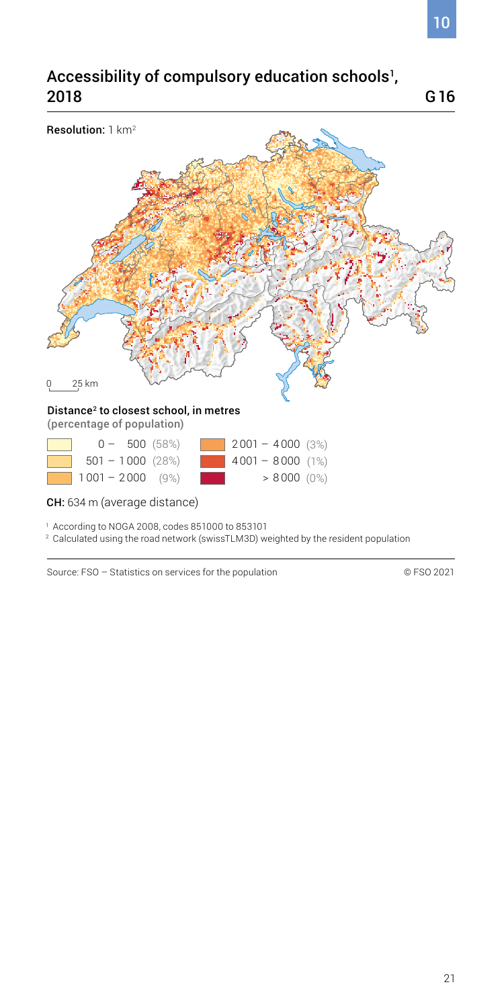### Accessibility of compulsory education schools<sup>1</sup>, 2018



1 According to NOGA 2008, codes 851000 to 853101

2 Calculated using the road network (swissTLM3D) weighted by the resident population

Source: FSO – Statistics on services for the population © FSO 2021

G16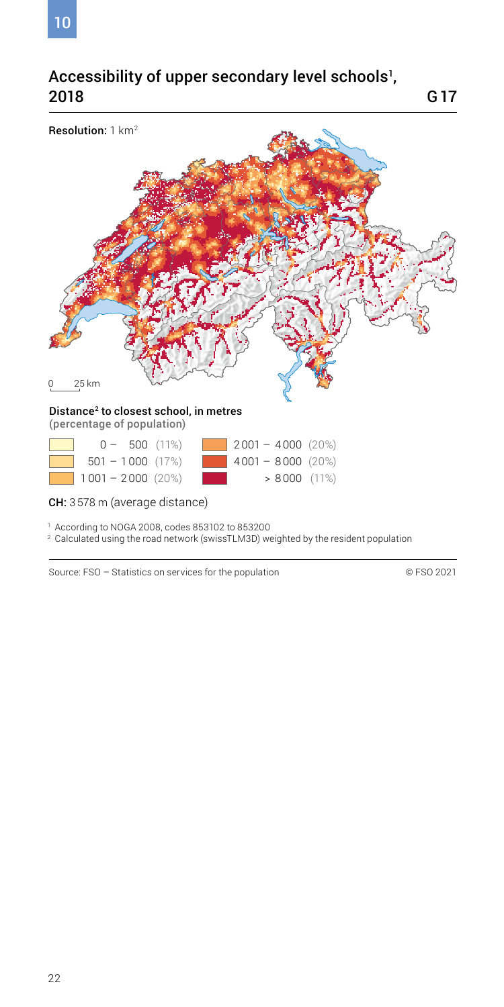### Accessibility of upper secondary level schools', 2018



1 According to NOGA 2008, codes 853102 to 853200

2 Calculated using the road network (swissTLM3D) weighted by the resident population

Source: FSO – Statistics on services for the population © FSO 2021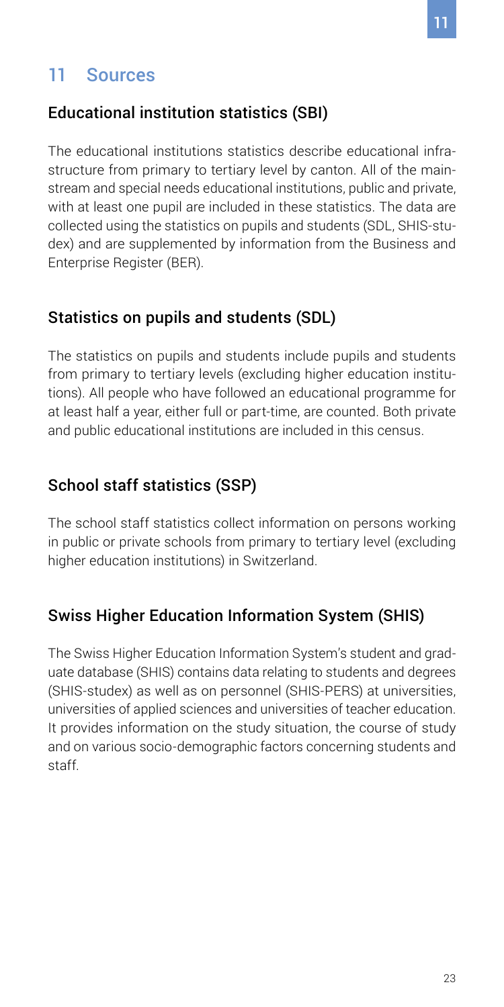# <span id="page-22-0"></span>11 Sources

### Educational institution statistics (SBI)

The educational institutions statistics describe educational infrastructure from primary to tertiary level by canton. All of the mainstream and special needs educational institutions, public and private, with at least one pupil are included in these statistics. The data are collected using the statistics on pupils and students (SDL, SHIS-studex) and are supplemented by information from the Business and Enterprise Register (BER).

### Statistics on pupils and students (SDL)

The statistics on pupils and students include pupils and students from primary to tertiary levels (excluding higher education institutions). All people who have followed an educational programme for at least half a year, either full or part-time, are counted. Both private and public educational institutions are included in this census.

### School staff statistics (SSP)

The school staff statistics collect information on persons working in public or private schools from primary to tertiary level (excluding higher education institutions) in Switzerland.

### Swiss Higher Education Information System (SHIS)

The Swiss Higher Education Information System's student and graduate database (SHIS) contains data relating to students and degrees (SHIS-studex) as well as on personnel (SHIS-PERS) at universities, universities of applied sciences and universities of teacher education. It provides information on the study situation, the course of study and on various socio-demographic factors concerning students and staff.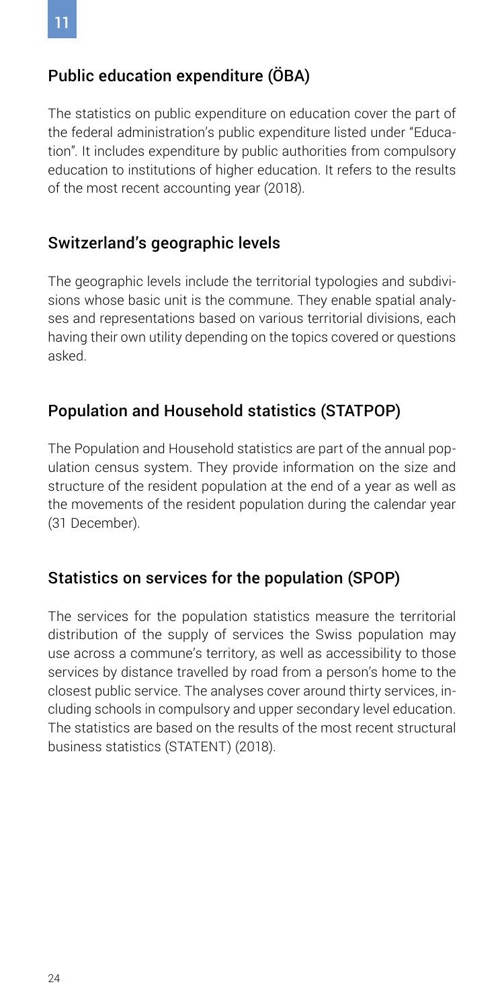### Public education expenditure (ÖBA)

The statistics on public expenditure on education cover the part of the federal administration's public expenditure listed under "Education". It includes expenditure by public authorities from compulsory education to institutions of higher education. It refers to the results of the most recent accounting year (2018).

### Switzerland's geographic levels

The geographic levels include the territorial typologies and subdivisions whose basic unit is the commune. They enable spatial analyses and representations based on various territorial divisions, each having their own utility depending on the topics covered or questions asked.

### Population and Household statistics (STATPOP)

The Population and Household statistics are part of the annual population census system. They provide information on the size and structure of the resident population at the end of a year as well as the movements of the resident population during the calendar year (31 December).

### Statistics on services for the population (SPOP)

The services for the population statistics measure the territorial distribution of the supply of services the Swiss population may use across a commune's territory, as well as accessibility to those services by distance travelled by road from a person's home to the closest public service. The analyses cover around thirty services, including schools in compulsory and upper secondary level education. The statistics are based on the results of the most recent structural business statistics (STATENT) (2018).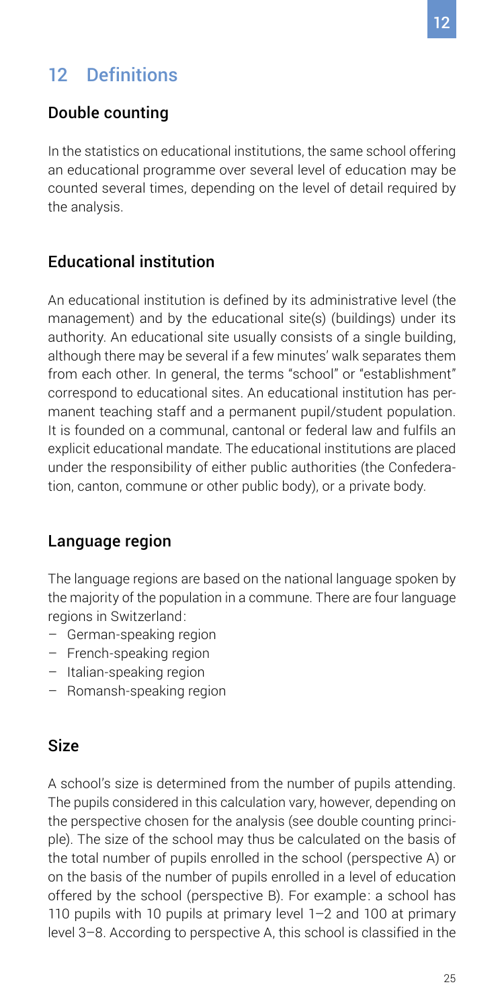# <span id="page-24-0"></span>12 Definitions

### Double counting

In the statistics on educational institutions, the same school offering an educational programme over several level of education may be counted several times, depending on the level of detail required by the analysis.

### Educational institution

An educational institution is defined by its administrative level (the management) and by the educational site(s) (buildings) under its authority. An educational site usually consists of a single building, although there may be several if a few minutes' walk separates them from each other. In general, the terms "school" or "establishment" correspond to educational sites. An educational institution has permanent teaching staff and a permanent pupil/student population. It is founded on a communal, cantonal or federal law and fulfils an explicit educational mandate. The educational institutions are placed under the responsibility of either public authorities (the Confederation, canton, commune or other public body), or a private body.

### Language region

The language regions are based on the national language spoken by the majority of the population in a commune. There are four language regions in Switzerland:

- German-speaking region
- French-speaking region
- Italian-speaking region
- Romansh-speaking region

### Size

A school's size is determined from the number of pupils attending. The pupils considered in this calculation vary, however, depending on the perspective chosen for the analysis (see double counting principle). The size of the school may thus be calculated on the basis of the total number of pupils enrolled in the school (perspective A) or on the basis of the number of pupils enrolled in a level of education offered by the school (perspective B). For example: a school has 110 pupils with 10 pupils at primary level 1–2 and 100 at primary level 3–8. According to perspective A, this school is classified in the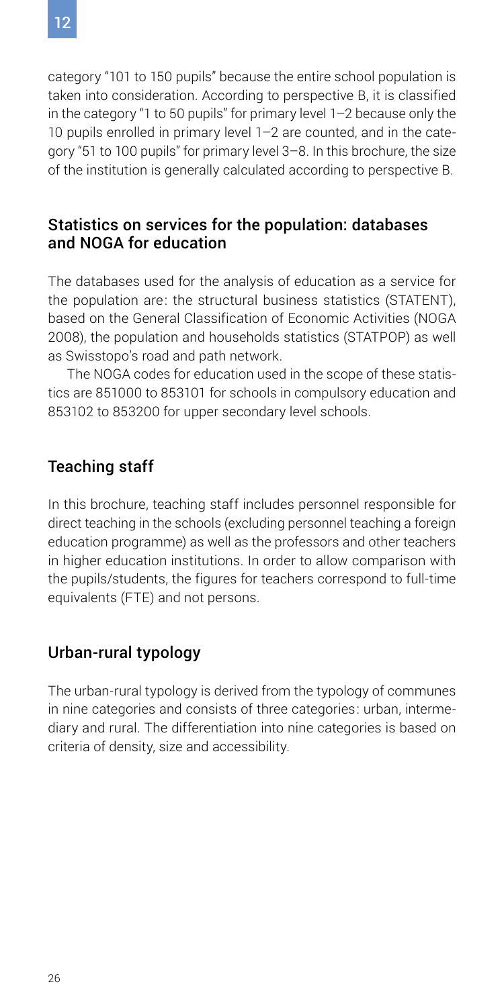category "101 to 150 pupils" because the entire school population is taken into consideration. According to perspective B, it is classified in the category "1 to 50 pupils" for primary level 1–2 because only the 10 pupils enrolled in primary level 1–2 are counted, and in the category "51 to 100 pupils" for primary level 3–8. In this brochure, the size of the institution is generally calculated according to perspective B.

### Statistics on services for the population: databases and NOGA for education

The databases used for the analysis of education as a service for the population are: the structural business statistics (STATENT), based on the General Classification of Economic Activities (NOGA 2008), the population and households statistics (STATPOP) as well as Swisstopo's road and path network.

The NOGA codes for education used in the scope of these statistics are 851000 to 853101 for schools in compulsory education and 853102 to 853200 for upper secondary level schools.

### Teaching staff

In this brochure, teaching staff includes personnel responsible for direct teaching in the schools (excluding personnel teaching a foreign education programme) as well as the professors and other teachers in higher education institutions. In order to allow comparison with the pupils/students, the figures for teachers correspond to full-time equivalents (FTE) and not persons.

### Urban-rural typology

The urban-rural typology is derived from the typology of communes in nine categories and consists of three categories: urban, intermediary and rural. The differentiation into nine categories is based on criteria of density, size and accessibility.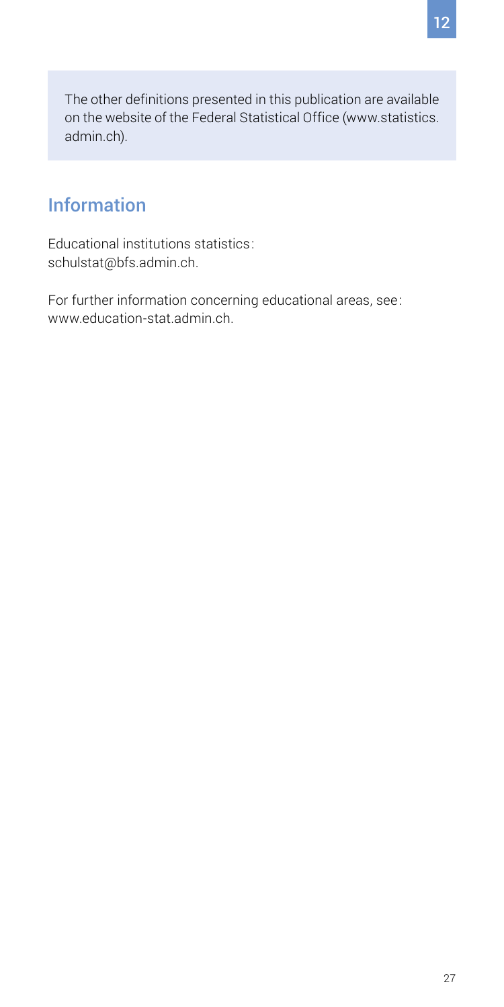<span id="page-26-0"></span>The other definitions presented in this publication are available on the website of the Federal Statistical Office ([www.statistics.](http://www.statistics.admin.ch) [admin.ch](http://www.statistics.admin.ch)).

# Information

Educational institutions statistics: [schulstat@bfs.admin.ch](mailto:schulstat@bfs.admin.ch).

For further information concerning educational areas, see: [www.education-stat.admin.ch](http://www.education-stat.admin.ch).